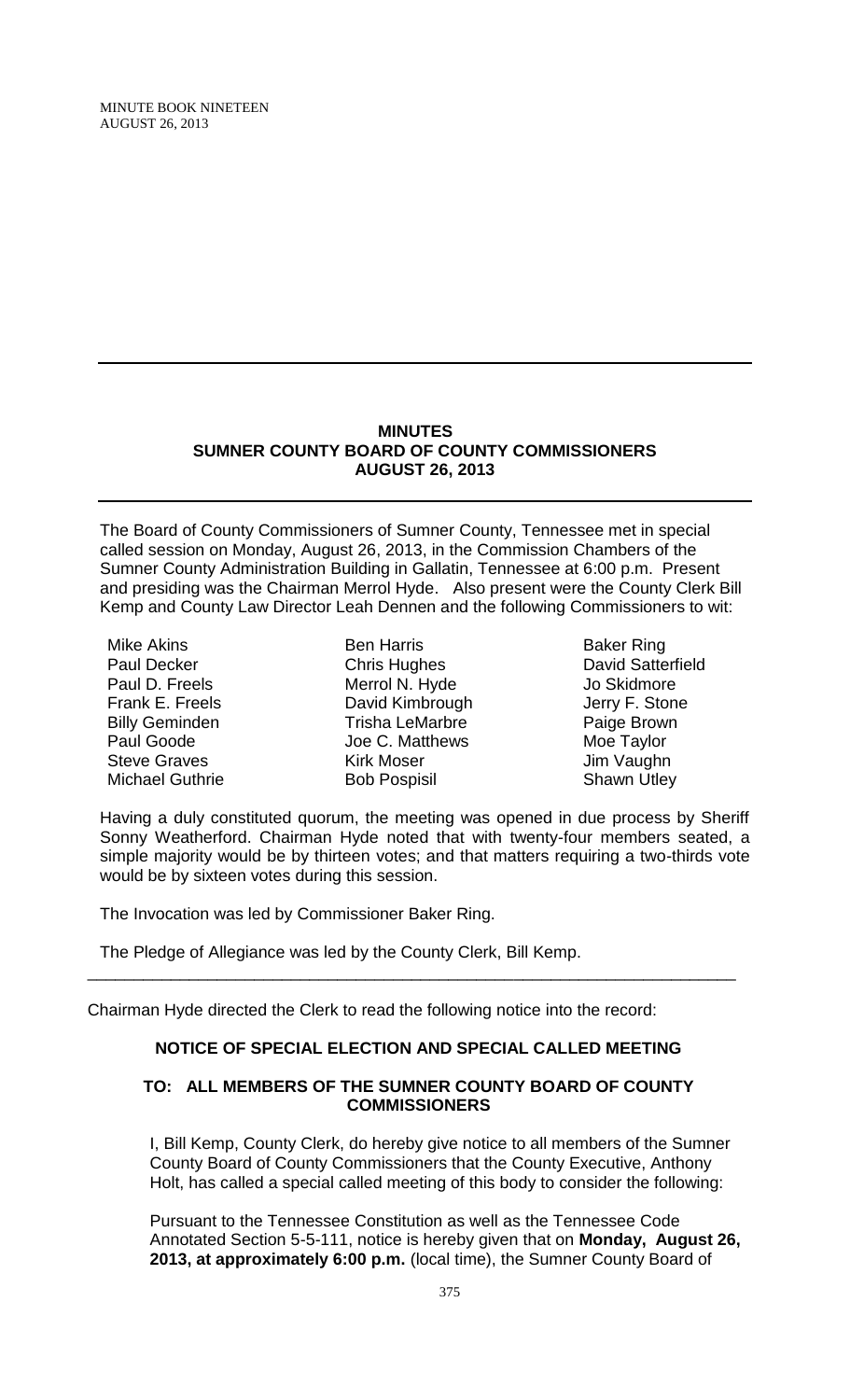MINUTE BOOK NINETEEN AUGUST 26, 2013

#### **MINUTES SUMNER COUNTY BOARD OF COUNTY COMMISSIONERS AUGUST 26, 2013**

The Board of County Commissioners of Sumner County, Tennessee met in special called session on Monday, August 26, 2013, in the Commission Chambers of the Sumner County Administration Building in Gallatin, Tennessee at 6:00 p.m. Present and presiding was the Chairman Merrol Hyde. Also present were the County Clerk Bill Kemp and County Law Director Leah Dennen and the following Commissioners to wit:

Mike Akins Paul Decker Paul D. Freels Frank E. Freels Billy Geminden Paul Goode Steve Graves Michael Guthrie

Ben Harris Chris Hughes Merrol N. Hyde David Kimbrough Trisha LeMarbre Joe C. Matthews Kirk Moser Bob Pospisil

Baker Ring David Satterfield Jo Skidmore Jerry F. Stone Paige Brown Moe Taylor Jim Vaughn Shawn Utley

Having a duly constituted quorum, the meeting was opened in due process by Sheriff Sonny Weatherford. Chairman Hyde noted that with twenty-four members seated, a simple majority would be by thirteen votes; and that matters requiring a two-thirds vote would be by sixteen votes during this session.

The Invocation was led by Commissioner Baker Ring.

The Pledge of Allegiance was led by the County Clerk, Bill Kemp.

Chairman Hyde directed the Clerk to read the following notice into the record:

## **NOTICE OF SPECIAL ELECTION AND SPECIAL CALLED MEETING**

\_\_\_\_\_\_\_\_\_\_\_\_\_\_\_\_\_\_\_\_\_\_\_\_\_\_\_\_\_\_\_\_\_\_\_\_\_\_\_\_\_\_\_\_\_\_\_\_\_\_\_\_\_\_\_\_\_\_\_\_\_\_\_\_\_\_\_\_\_\_

#### **TO: ALL MEMBERS OF THE SUMNER COUNTY BOARD OF COUNTY COMMISSIONERS**

I, Bill Kemp, County Clerk, do hereby give notice to all members of the Sumner County Board of County Commissioners that the County Executive, Anthony Holt, has called a special called meeting of this body to consider the following:

Pursuant to the Tennessee Constitution as well as the Tennessee Code Annotated Section 5-5-111, notice is hereby given that on **Monday, August 26, 2013, at approximately 6:00 p.m.** (local time), the Sumner County Board of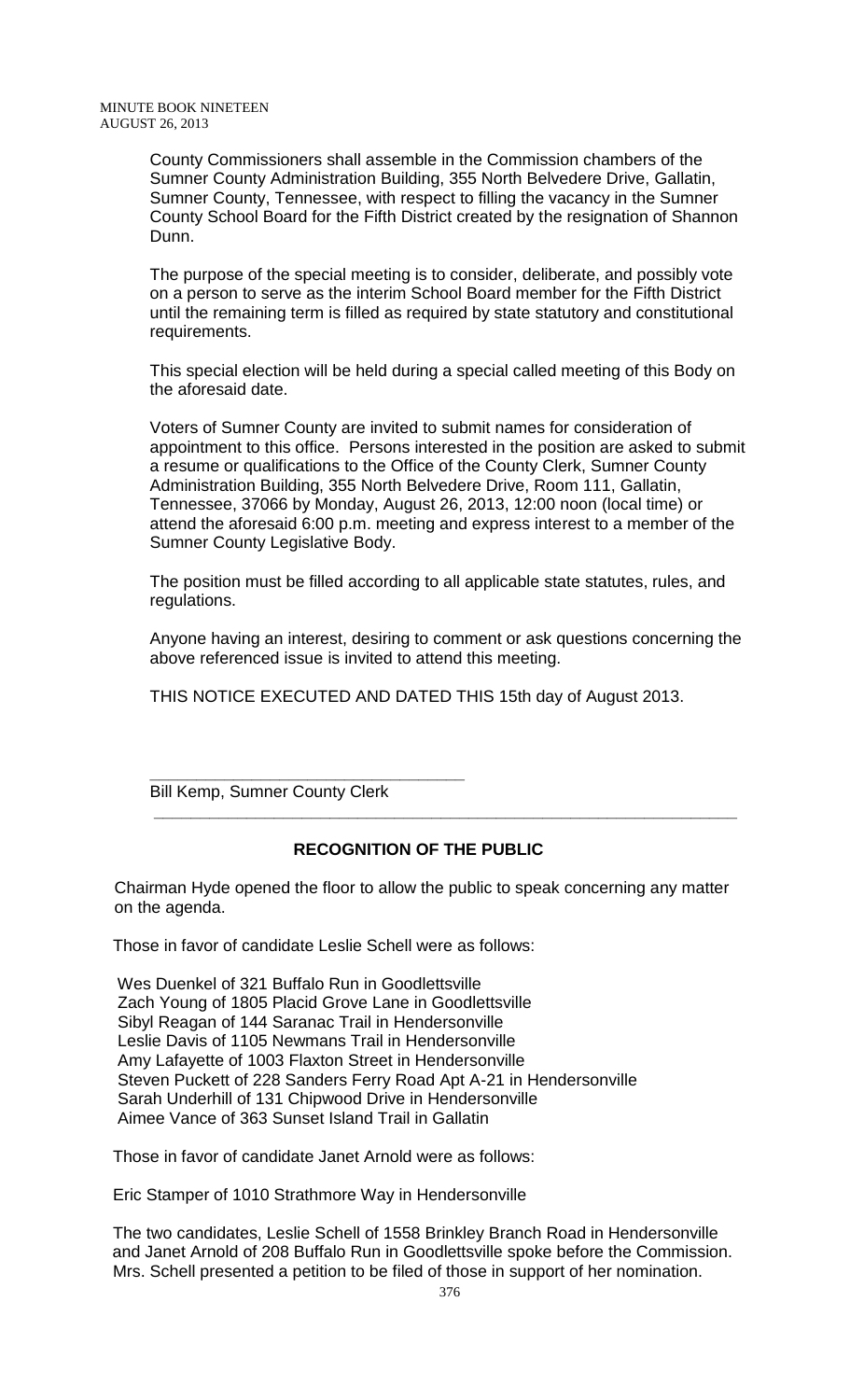County Commissioners shall assemble in the Commission chambers of the Sumner County Administration Building, 355 North Belvedere Drive, Gallatin, Sumner County, Tennessee, with respect to filling the vacancy in the Sumner County School Board for the Fifth District created by the resignation of Shannon Dunn.

The purpose of the special meeting is to consider, deliberate, and possibly vote on a person to serve as the interim School Board member for the Fifth District until the remaining term is filled as required by state statutory and constitutional requirements.

This special election will be held during a special called meeting of this Body on the aforesaid date.

Voters of Sumner County are invited to submit names for consideration of appointment to this office. Persons interested in the position are asked to submit a resume or qualifications to the Office of the County Clerk, Sumner County Administration Building, 355 North Belvedere Drive, Room 111, Gallatin, Tennessee, 37066 by Monday, August 26, 2013, 12:00 noon (local time) or attend the aforesaid 6:00 p.m. meeting and express interest to a member of the Sumner County Legislative Body.

The position must be filled according to all applicable state statutes, rules, and regulations.

Anyone having an interest, desiring to comment or ask questions concerning the above referenced issue is invited to attend this meeting.

THIS NOTICE EXECUTED AND DATED THIS 15th day of August 2013.

**\_\_\_\_\_\_\_\_\_\_\_\_\_\_\_\_\_\_\_\_\_\_\_\_\_\_\_\_\_\_\_\_\_\_** Bill Kemp, Sumner County Clerk

## **RECOGNITION OF THE PUBLIC**

 **\_\_\_\_\_\_\_\_\_\_\_\_\_\_\_\_\_\_\_\_\_\_\_\_\_\_\_\_\_\_\_\_\_\_\_\_\_\_\_\_\_\_\_\_\_\_\_\_\_\_\_\_\_\_\_\_\_\_\_\_\_\_\_**

 Chairman Hyde opened the floor to allow the public to speak concerning any matter on the agenda.

Those in favor of candidate Leslie Schell were as follows:

Wes Duenkel of 321 Buffalo Run in Goodlettsville Zach Young of 1805 Placid Grove Lane in Goodlettsville Sibyl Reagan of 144 Saranac Trail in Hendersonville Leslie Davis of 1105 Newmans Trail in Hendersonville Amy Lafayette of 1003 Flaxton Street in Hendersonville Steven Puckett of 228 Sanders Ferry Road Apt A-21 in Hendersonville Sarah Underhill of 131 Chipwood Drive in Hendersonville Aimee Vance of 363 Sunset Island Trail in Gallatin

Those in favor of candidate Janet Arnold were as follows:

Eric Stamper of 1010 Strathmore Way in Hendersonville

The two candidates, Leslie Schell of 1558 Brinkley Branch Road in Hendersonville and Janet Arnold of 208 Buffalo Run in Goodlettsville spoke before the Commission. Mrs. Schell presented a petition to be filed of those in support of her nomination.